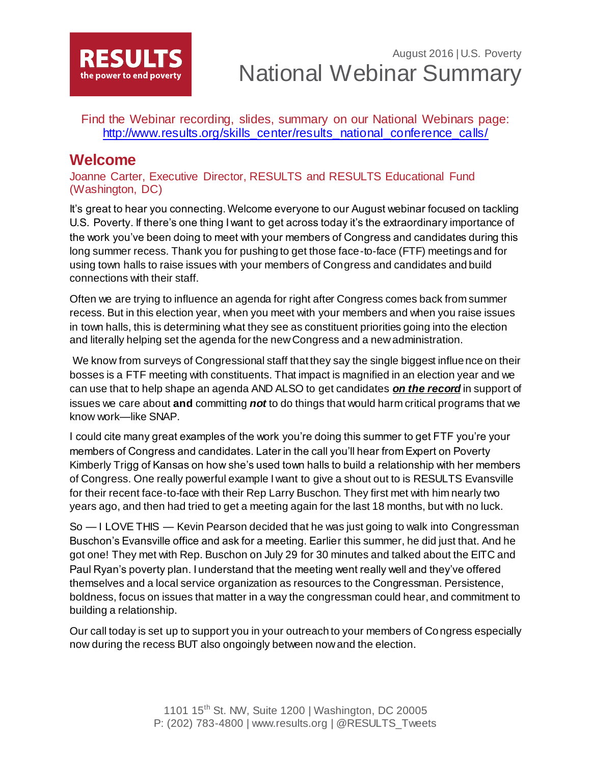

Find the Webinar recording, slides, summary on our National Webinars page: [http://www.results.org/skills\\_center/results\\_national\\_conference\\_calls/](http://www.results.org/skills_center/results_national_conference_calls/)

## **Welcome**

Joanne Carter, Executive Director, RESULTS and RESULTS Educational Fund (Washington, DC)

It's great to hear you connecting. Welcome everyone to our August webinar focused on tackling U.S. Poverty. If there's one thing I want to get across today it's the extraordinary importance of the work you've been doing to meet with your members of Congress and candidates during this long summer recess. Thank you for pushing to get those face-to-face (FTF) meetings and for using town halls to raise issues with your members of Congress and candidates and build connections with their staff.

Often we are trying to influence an agenda for right after Congress comes back from summer recess. But in this election year, when you meet with your members and when you raise issues in town halls, this is determining what they see as constituent priorities going into the election and literally helping set the agenda for the new Congress and a new administration.

We know from surveys of Congressional staff that they say the single biggest influence on their bosses is a FTF meeting with constituents. That impact is magnified in an election year and we can use that to help shape an agenda AND ALSO to get candidates *on the record* in support of issues we care about **and** committing *not* to do things that would harm critical programs that we know work—like SNAP.

I could cite many great examples of the work you're doing this summer to get FTF you're your members of Congress and candidates. Later in the call you'll hear from Expert on Poverty Kimberly Trigg of Kansas on how she's used town halls to build a relationship with her members of Congress. One really powerful example I want to give a shout out to is RESULTS Evansville for their recent face-to-face with their Rep Larry Buschon. They first met with him nearly two years ago, and then had tried to get a meeting again for the last 18 months, but with no luck.

So — I LOVE THIS — Kevin Pearson decided that he was just going to walk into Congressman Buschon's Evansville office and ask for a meeting. Earlier this summer, he did just that. And he got one! They met with Rep. Buschon on July 29 for 30 minutes and talked about the EITC and Paul Ryan's poverty plan. I understand that the meeting went really well and they've offered themselves and a local service organization as resources to the Congressman. Persistence, boldness, focus on issues that matter in a way the congressman could hear, and commitment to building a relationship.

Our call today is set up to support you in your outreach to your members of Congress especially now during the recess BUT also ongoingly between now and the election.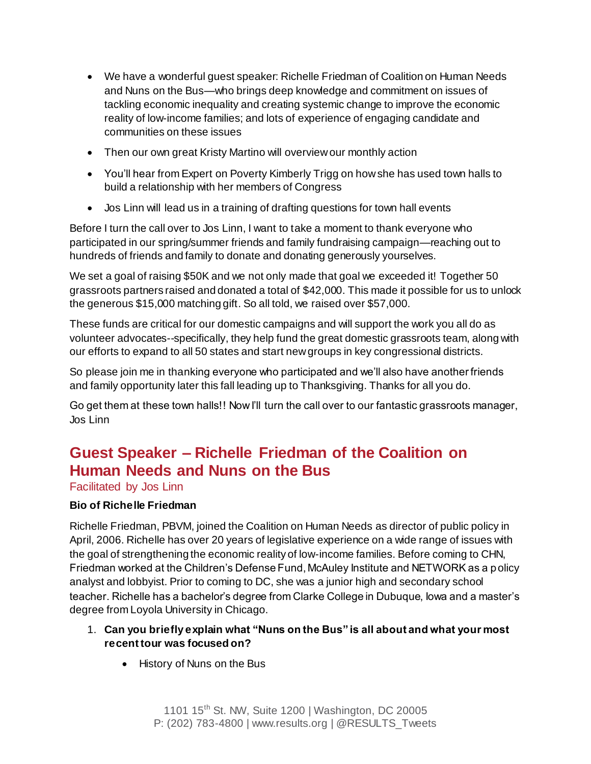- We have a wonderful guest speaker: Richelle Friedman of Coalition on Human Needs and Nuns on the Bus—who brings deep knowledge and commitment on issues of tackling economic inequality and creating systemic change to improve the economic reality of low-income families; and lots of experience of engaging candidate and communities on these issues
- Then our own great Kristy Martino will overview our monthly action
- You'll hear from Expert on Poverty Kimberly Trigg on how she has used town halls to build a relationship with her members of Congress
- Jos Linn will lead us in a training of drafting questions for town hall events

Before I turn the call over to Jos Linn, I want to take a moment to thank everyone who participated in our spring/summer friends and family fundraising campaign—reaching out to hundreds of friends and family to donate and donating generously yourselves.

We set a goal of raising \$50K and we not only made that goal we exceeded it! Together 50 grassroots partners raised and donated a total of \$42,000. This made it possible for us to unlock the generous \$15,000 matching gift. So all told, we raised over \$57,000.

These funds are critical for our domestic campaigns and will support the work you all do as volunteer advocates--specifically, they help fund the great domestic grassroots team, along with our efforts to expand to all 50 states and start new groups in key congressional districts.

So please join me in thanking everyone who participated and we'll also have another friends and family opportunity later this fall leading up to Thanksgiving. Thanks for all you do.

Go get them at these town halls!! Now I'll turn the call over to our fantastic grassroots manager, Jos Linn

# **Guest Speaker – Richelle Friedman of the Coalition on Human Needs and Nuns on the Bus**

Facilitated by Jos Linn

### **Bio of Richelle Friedman**

Richelle Friedman, PBVM, joined the Coalition on Human Needs as director of public policy in April, 2006. Richelle has over 20 years of legislative experience on a wide range of issues with the goal of strengthening the economic reality of low-income families. Before coming to CHN, Friedman worked at the Children's Defense Fund, McAuley Institute and NETWORK as a policy analyst and lobbyist. Prior to coming to DC, she was a junior high and secondary school teacher. Richelle has a bachelor's degree from Clarke College in Dubuque, Iowa and a master's degree from Loyola University in Chicago.

### 1. **Can you briefly explain what "Nuns on the Bus" is all about and what your most recent tour was focused on?**

• History of Nuns on the Bus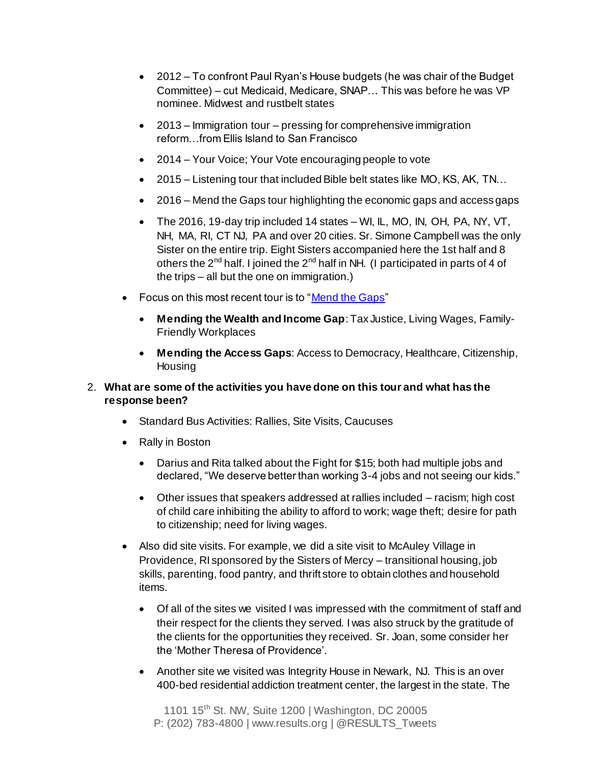- 2012 To confront Paul Ryan's House budgets (he was chair of the Budget Committee) – cut Medicaid, Medicare, SNAP… This was before he was VP nominee. Midwest and rustbelt states
- 2013 Immigration tour pressing for comprehensive immigration reform…from Ellis Island to San Francisco
- 2014 Your Voice; Your Vote encouraging people to vote
- 2015 Listening tour that included Bible belt states like MO, KS, AK, TN...
- 2016 Mend the Gaps tour highlighting the economic gaps and access gaps
- The 2016, 19-day trip included 14 states WI, IL, MO, IN, OH, PA, NY, VT, NH, MA, RI, CT NJ, PA and over 20 cities. Sr. Simone Campbell was the only Sister on the entire trip. Eight Sisters accompanied here the 1st half and 8 others the  $2^{nd}$  half. I joined the  $2^{nd}$  half in NH. (I participated in parts of 4 of the trips – all but the one on immigration.)
- Focus on this most recent tour is to ["Mend the Gaps"](https://networklobby.org/bus2016/)
	- **Mending the Wealth and Income Gap**: Tax Justice, Living Wages, Family-Friendly Workplaces
	- **Mending the Access Gaps**: Access to Democracy, Healthcare, Citizenship, **Housing**

#### 2. **What are some of the activities you have done on this tour and what has the response been?**

- Standard Bus Activities: Rallies, Site Visits, Caucuses
- Rally in Boston
	- Darius and Rita talked about the Fight for \$15; both had multiple jobs and declared, "We deserve better than working 3-4 jobs and not seeing our kids."
	- Other issues that speakers addressed at rallies included racism; high cost of child care inhibiting the ability to afford to work; wage theft; desire for path to citizenship; need for living wages.
- Also did site visits. For example, we did a site visit to McAuley Village in Providence, RI sponsored by the Sisters of Mercy – transitional housing, job skills, parenting, food pantry, and thrift store to obtain clothes and household items.
	- Of all of the sites we visited I was impressed with the commitment of staff and their respect for the clients they served. I was also struck by the gratitude of the clients for the opportunities they received. Sr. Joan, some consider her the 'Mother Theresa of Providence'.
	- Another site we visited was Integrity House in Newark, NJ. This is an over 400-bed residential addiction treatment center, the largest in the state. The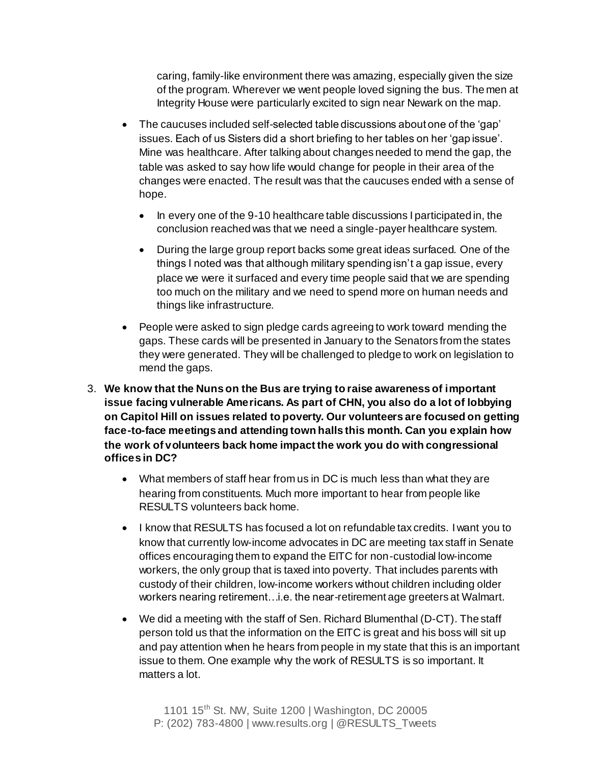caring, family-like environment there was amazing, especially given the size of the program. Wherever we went people loved signing the bus. The men at Integrity House were particularly excited to sign near Newark on the map.

- The caucuses included self-selected table discussions about one of the 'gap' issues. Each of us Sisters did a short briefing to her tables on her 'gap issue'. Mine was healthcare. After talking about changes needed to mend the gap, the table was asked to say how life would change for people in their area of the changes were enacted. The result was that the caucuses ended with a sense of hope.
	- In every one of the 9-10 healthcare table discussions I participated in, the conclusion reached was that we need a single-payer healthcare system.
	- During the large group report backs some great ideas surfaced. One of the things I noted was that although military spending isn't a gap issue, every place we were it surfaced and every time people said that we are spending too much on the military and we need to spend more on human needs and things like infrastructure.
- People were asked to sign pledge cards agreeing to work toward mending the gaps. These cards will be presented in January to the Senators from the states they were generated. They will be challenged to pledge to work on legislation to mend the gaps.
- 3. **We know that the Nuns on the Bus are trying to raise awareness of important issue facing vulnerable Americans. As part of CHN, you also do a lot of lobbying on Capitol Hill on issues related to poverty. Our volunteers are focused on getting face-to-face meetings and attending town halls this month. Can you explain how the work of volunteers back home impact the work you do with congressional offices in DC?**
	- What members of staff hear from us in DC is much less than what they are hearing from constituents. Much more important to hear from people like RESULTS volunteers back home.
	- I know that RESULTS has focused a lot on refundable tax credits. I want you to know that currently low-income advocates in DC are meeting tax staff in Senate offices encouraging them to expand the EITC for non-custodial low-income workers, the only group that is taxed into poverty. That includes parents with custody of their children, low-income workers without children including older workers nearing retirement…i.e. the near-retirement age greeters at Walmart.
	- We did a meeting with the staff of Sen. Richard Blumenthal (D-CT). The staff person told us that the information on the EITC is great and his boss will sit up and pay attention when he hears from people in my state that this is an important issue to them. One example why the work of RESULTS is so important. It matters a lot.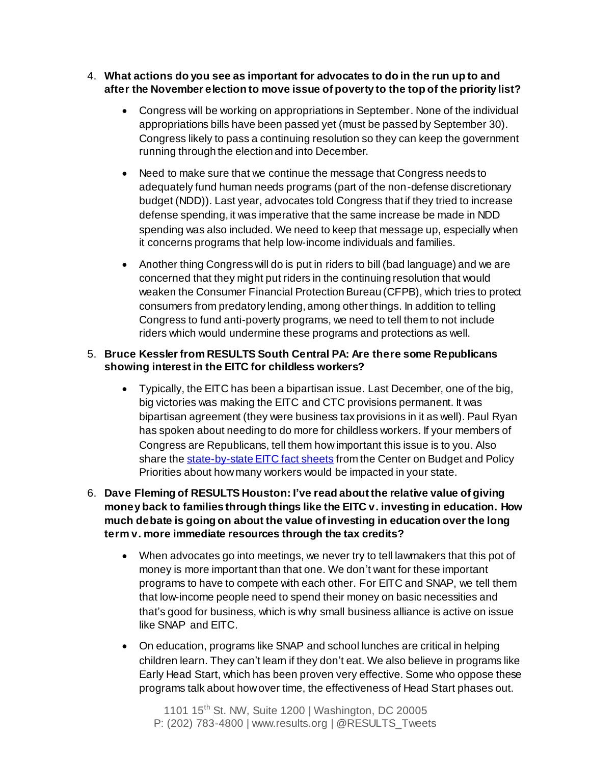- 4. **What actions do you see as important for advocates to do in the run up to and after the November election to move issue of poverty to the top of the priority list?**
	- Congress will be working on appropriations in September. None of the individual appropriations bills have been passed yet (must be passed by September 30). Congress likely to pass a continuing resolution so they can keep the government running through the election and into December.
	- Need to make sure that we continue the message that Congress needs to adequately fund human needs programs (part of the non-defense discretionary budget (NDD)). Last year, advocates told Congress that if they tried to increase defense spending, it was imperative that the same increase be made in NDD spending was also included. We need to keep that message up, especially when it concerns programs that help low-income individuals and families.
	- Another thing Congress will do is put in riders to bill (bad language) and we are concerned that they might put riders in the continuing resolution that would weaken the Consumer Financial Protection Bureau (CFPB), which tries to protect consumers from predatory lending, among other things. In addition to telling Congress to fund anti-poverty programs, we need to tell them to not include riders which would undermine these programs and protections as well.

#### 5. **Bruce Kessler from RESULTS South Central PA: Are there some Republicans showing interest in the EITC for childless workers?**

- Typically, the EITC has been a bipartisan issue. Last December, one of the big, big victories was making the EITC and CTC provisions permanent. It was bipartisan agreement (they were business tax provisions in it as well). Paul Ryan has spoken about needing to do more for childless workers. If your members of Congress are Republicans, tell them how important this issue is to you. Also share th[e state-by-state EITC fact sheets](http://www.cbpp.org/research/federal-tax/state-fact-sheets-the-earned-income-and-child-tax-credits) from the Center on Budget and Policy Priorities about how many workers would be impacted in your state.
- 6. **Dave Fleming of RESULTS Houston: I've read about the relative value of giving money back to families through things like the EITC v. investing in education. How much debate is going on about the value of investing in education over the long term v. more immediate resources through the tax credits?**
	- When advocates go into meetings, we never try to tell lawmakers that this pot of money is more important than that one. We don't want for these important programs to have to compete with each other. For EITC and SNAP, we tell them that low-income people need to spend their money on basic necessities and that's good for business, which is why small business alliance is active on issue like SNAP and EITC.
	- On education, programs like SNAP and school lunches are critical in helping children learn. They can't learn if they don't eat. We also believe in programs like Early Head Start, which has been proven very effective. Some who oppose these programs talk about how over time, the effectiveness of Head Start phases out.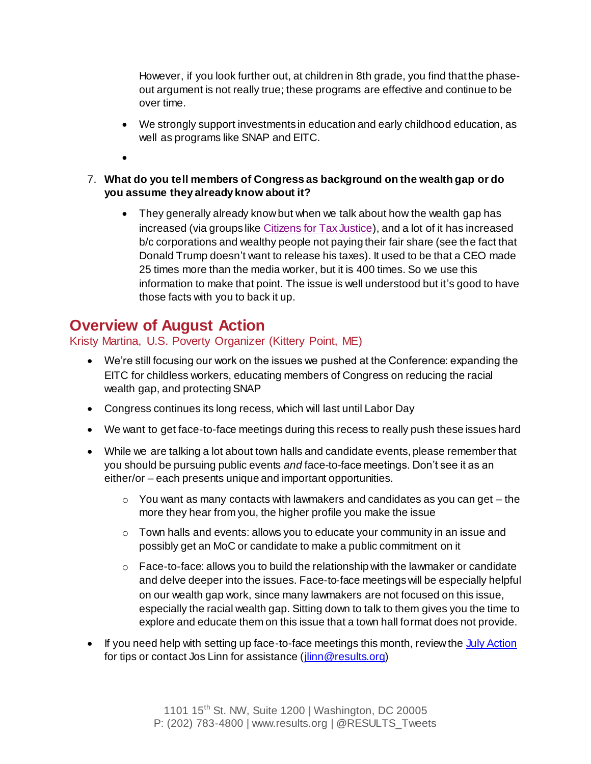However, if you look further out, at children in 8th grade, you find that the phaseout argument is not really true; these programs are effective and continue to be over time.

- We strongly support investments in education and early childhood education, as well as programs like SNAP and EITC.
- $\bullet$
- 7. **What do you tell members of Congress as background on the wealth gap or do you assume they already know about it?**
	- They generally already know but when we talk about how the wealth gap has increased (via groups lik[e Citizens for Tax Justice\)](http://www.ctj.org/), and a lot of it has increased b/c corporations and wealthy people not paying their fair share (see the fact that Donald Trump doesn't want to release his taxes). It used to be that a CEO made 25 times more than the media worker, but it is 400 times. So we use this information to make that point. The issue is well understood but it's good to have those facts with you to back it up.

# **Overview of August Action**

## Kristy Martina, U.S. Poverty Organizer (Kittery Point, ME)

- We're still focusing our work on the issues we pushed at the Conference: expanding the EITC for childless workers, educating members of Congress on reducing the racial wealth gap, and protecting SNAP
- Congress continues its long recess, which will last until Labor Day
- We want to get face-to-face meetings during this recess to really push these issues hard
- While we are talking a lot about town halls and candidate events, please remember that you should be pursuing public events *and* face-to-face meetings. Don't see it as an either/or – each presents unique and important opportunities.
	- $\circ$  You want as many contacts with lawmakers and candidates as you can get the more they hear from you, the higher profile you make the issue
	- $\circ$  Town halls and events: allows you to educate your community in an issue and possibly get an MoC or candidate to make a public commitment on it
	- $\circ$  Face-to-face: allows you to build the relationship with the lawmaker or candidate and delve deeper into the issues. Face-to-face meetings will be especially helpful on our wealth gap work, since many lawmakers are not focused on this issue, especially the racial wealth gap. Sitting down to talk to them gives you the time to explore and educate them on this issue that a town hall format does not provide.
- If you need help with setting up face-to-face meetings this month, review th[e July Action](http://www.results.org/take_action/july_2016_u.s._poverty_action/) for tips or contact Jos Linn for assistance (*jlinn@results.org*)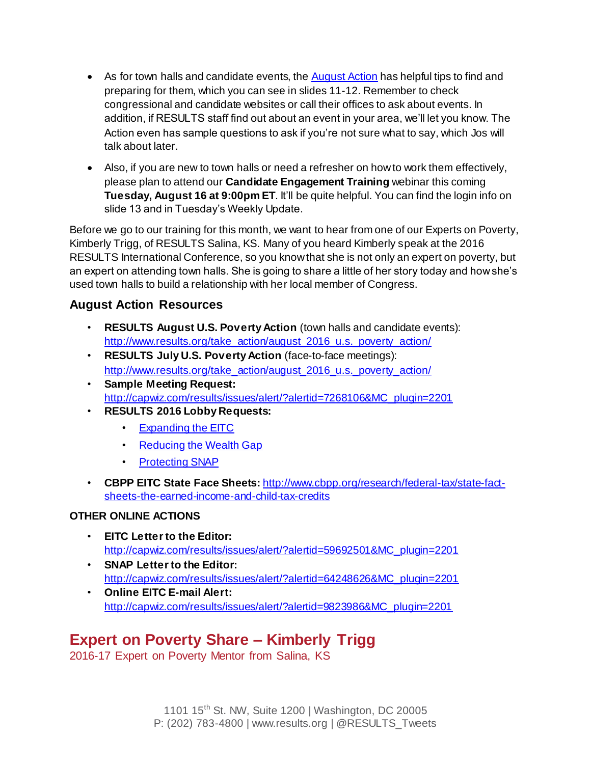- As for town halls and candidate events, th[e August Action](http://www.results.org/take_action/august_2016_u.s._poverty_action/) has helpful tips to find and preparing for them, which you can see in slides 11-12. Remember to check congressional and candidate websites or call their offices to ask about events. In addition, if RESULTS staff find out about an event in your area, we'll let you know. The Action even has sample questions to ask if you're not sure what to say, which Jos will talk about later.
- Also, if you are new to town halls or need a refresher on how to work them effectively, please plan to attend our **Candidate Engagement Training** webinar this coming **Tuesday, August 16 at 9:00pm ET**. It'll be quite helpful. You can find the login info on slide 13 and in Tuesday's Weekly Update.

Before we go to our training for this month, we want to hear from one of our Experts on Poverty, Kimberly Trigg, of RESULTS Salina, KS. Many of you heard Kimberly speak at the 2016 RESULTS International Conference, so you know that she is not only an expert on poverty, but an expert on attending town halls. She is going to share a little of her story today and how she's used town halls to build a relationship with her local member of Congress.

### **August Action Resources**

- **RESULTS August U.S. Poverty Action** (town halls and candidate events): [http://www.results.org/take\\_action/august\\_2016\\_u.s.\\_poverty\\_action/](http://www.results.org/take_action/august_2016_u.s._poverty_action/)
- **RESULTS July U.S. Poverty Action** (face-to-face meetings): [http://www.results.org/take\\_action/august\\_2016\\_u.s.\\_poverty\\_action/](http://www.results.org/take_action/august_2016_u.s._poverty_action/)
- **Sample Meeting Request:**  [http://capwiz.com/results/issues/alert/?alertid=7268106&MC\\_plugin=2201](http://capwiz.com/results/issues/alert/?alertid=7268106&MC_plugin=2201)
- **RESULTS 2016 Lobby Requests:** 
	- [Expanding the EITC](http://www.results.org/uploads/files/RESULTS_Economic_Mobility_EITC_Congressional_Requests_(June_2016).pdf)
	- [Reducing the Wealth Gap](http://www.results.org/uploads/files/RESULTS_Economic_Mobility_Wealth_Gap_Congressional_Requests_(June_2016).pdf)
	- [Protecting SNAP](http://www.results.org/uploads/files/2016_RESULTS_Nutrition(SNAP)_Congressional_Requests.pdf)
- **CBPP EITC State Face Sheets:** [http://www.cbpp.org/research/federal-tax/state-fact](http://www.cbpp.org/research/federal-tax/state-fact-sheets-the-earned-income-and-child-tax-credits)[sheets-the-earned-income-and-child-tax-credits](http://www.cbpp.org/research/federal-tax/state-fact-sheets-the-earned-income-and-child-tax-credits)

#### **OTHER ONLINE ACTIONS**

- **EITC Letter to the Editor:**  [http://capwiz.com/results/issues/alert/?alertid=59692501&MC\\_plugin=2201](http://capwiz.com/results/issues/alert/?alertid=59692501&MC_plugin=2201)
- **SNAP Letter to the Editor:**  [http://capwiz.com/results/issues/alert/?alertid=64248626&MC\\_plugin=2201](http://capwiz.com/results/issues/alert/?alertid=64248626&MC_plugin=2201)
- **Online EITC E-mail Alert:**  [http://capwiz.com/results/issues/alert/?alertid=9823986&MC\\_plugin=2201](http://capwiz.com/results/issues/alert/?alertid=9823986&MC_plugin=2201)

# **Expert on Poverty Share – Kimberly Trigg**

2016-17 Expert on Poverty Mentor from Salina, KS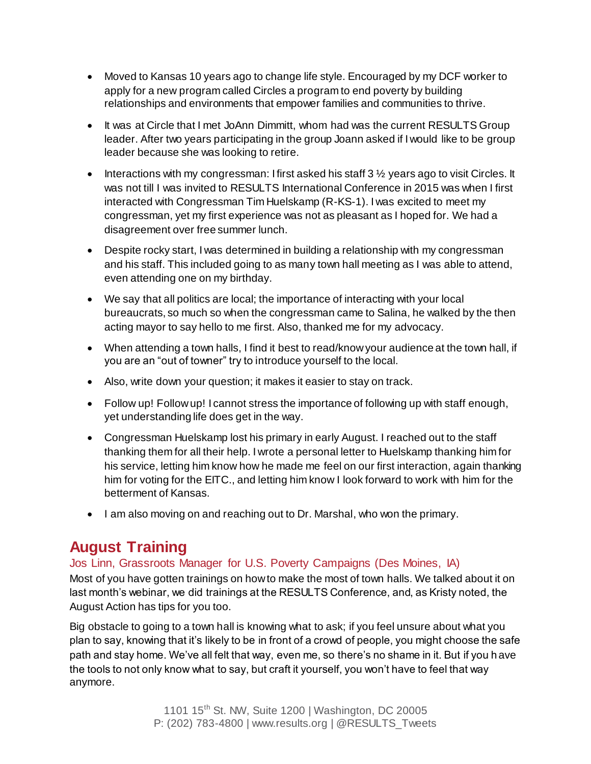- Moved to Kansas 10 years ago to change life style. Encouraged by my DCF worker to apply for a new program called Circles a program to end poverty by building relationships and environments that empower families and communities to thrive.
- It was at Circle that I met JoAnn Dimmitt, whom had was the current RESULTS Group leader. After two years participating in the group Joann asked if I would like to be group leader because she was looking to retire.
- $\bullet$  Interactions with my congressman: I first asked his staff 3  $\frac{1}{2}$  years ago to visit Circles. It was not till I was invited to RESULTS International Conference in 2015 was when I first interacted with Congressman Tim Huelskamp (R-KS-1). I was excited to meet my congressman, yet my first experience was not as pleasant as I hoped for. We had a disagreement over free summer lunch.
- Despite rocky start, I was determined in building a relationship with my congressman and his staff. This included going to as many town hall meeting as I was able to attend, even attending one on my birthday.
- We say that all politics are local; the importance of interacting with your local bureaucrats, so much so when the congressman came to Salina, he walked by the then acting mayor to say hello to me first. Also, thanked me for my advocacy.
- When attending a town halls, I find it best to read/know your audience at the town hall, if you are an "out of towner" try to introduce yourself to the local.
- Also, write down your question; it makes it easier to stay on track.
- Follow up! Follow up! I cannot stress the importance of following up with staff enough, yet understanding life does get in the way.
- Congressman Huelskamp lost his primary in early August. I reached out to the staff thanking them for all their help. I wrote a personal letter to Huelskamp thanking him for his service, letting him know how he made me feel on our first interaction, again thanking him for voting for the EITC., and letting him know I look forward to work with him for the betterment of Kansas.
- I am also moving on and reaching out to Dr. Marshal, who won the primary.

# **August Training**

### Jos Linn, Grassroots Manager for U.S. Poverty Campaigns (Des Moines, IA)

Most of you have gotten trainings on how to make the most of town halls. We talked about it on last month's webinar, we did trainings at the RESULTS Conference, and, as Kristy noted, the August Action has tips for you too.

Big obstacle to going to a town hall is knowing what to ask; if you feel unsure about what you plan to say, knowing that it's likely to be in front of a crowd of people, you might choose the safe path and stay home. We've all felt that way, even me, so there's no shame in it. But if you have the tools to not only know what to say, but craft it yourself, you won't have to feel that way anymore.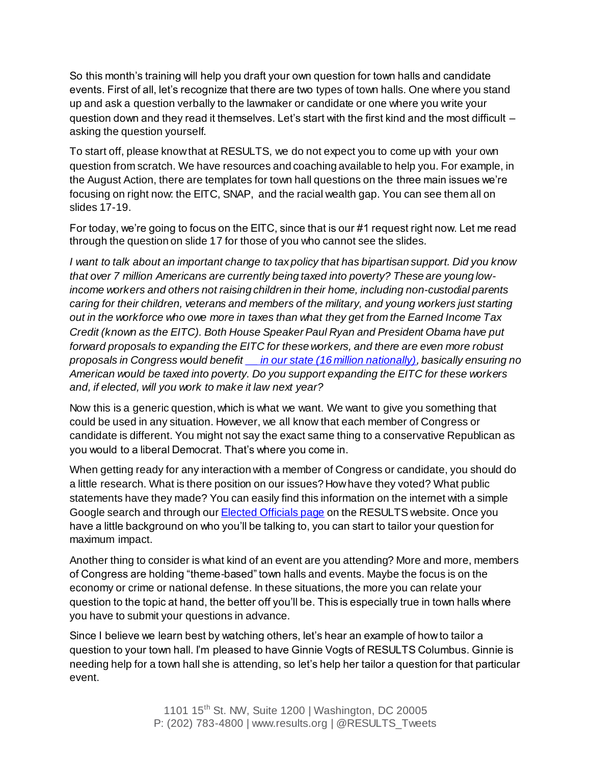So this month's training will help you draft your own question for town halls and candidate events. First of all, let's recognize that there are two types of town halls. One where you stand up and ask a question verbally to the lawmaker or candidate or one where you write your question down and they read it themselves. Let's start with the first kind and the most difficult – asking the question yourself.

To start off, please know that at RESULTS, we do not expect you to come up with your own question from scratch. We have resources and coaching available to help you. For example, in the August Action, there are templates for town hall questions on the three main issues we're focusing on right now: the EITC, SNAP, and the racial wealth gap. You can see them all on slides 17-19.

For today, we're going to focus on the EITC, since that is our #1 request right now. Let me read through the question on slide 17 for those of you who cannot see the slides.

*I want to talk about an important change to tax policy that has bipartisan support. Did you know that over 7 million Americans are currently being taxed into poverty? These are young lowincome workers and others not raising children in their home, including non-custodial parents caring for their children, veterans and members of the military, and young workers just starting out in the workforce who owe more in taxes than what they get from the Earned Income Tax Credit (known as the EITC). Both House Speaker Paul Ryan and President Obama have put forward proposals to expanding the EITC for these workers, and there are even more robust proposals in Congress would benefi[t \\_\\_ in our state \(16 million nationally\)](http://www.cbpp.org/research/federal-tax/state-fact-sheets-the-earned-income-and-child-tax-credits), basically ensuring no American would be taxed into poverty. Do you support expanding the EITC for these workers and, if elected, will you work to make it law next year?*

Now this is a generic question, which is what we want. We want to give you something that could be used in any situation. However, we all know that each member of Congress or candidate is different. You might not say the exact same thing to a conservative Republican as you would to a liberal Democrat. That's where you come in.

When getting ready for any interaction with a member of Congress or candidate, you should do a little research. What is there position on our issues? How have they voted? What public statements have they made? You can easily find this information on the internet with a simple Google search and through ou[r Elected Officials page](http://capwiz.com/results/dbq/officials/) on the RESULTS website. Once you have a little background on who you'll be talking to, you can start to tailor your question for maximum impact.

Another thing to consider is what kind of an event are you attending? More and more, members of Congress are holding "theme-based" town halls and events. Maybe the focus is on the economy or crime or national defense. In these situations, the more you can relate your question to the topic at hand, the better off you'll be. This is especially true in town halls where you have to submit your questions in advance.

Since I believe we learn best by watching others, let's hear an example of how to tailor a question to your town hall. I'm pleased to have Ginnie Vogts of RESULTS Columbus. Ginnie is needing help for a town hall she is attending, so let's help her tailor a question for that particular event.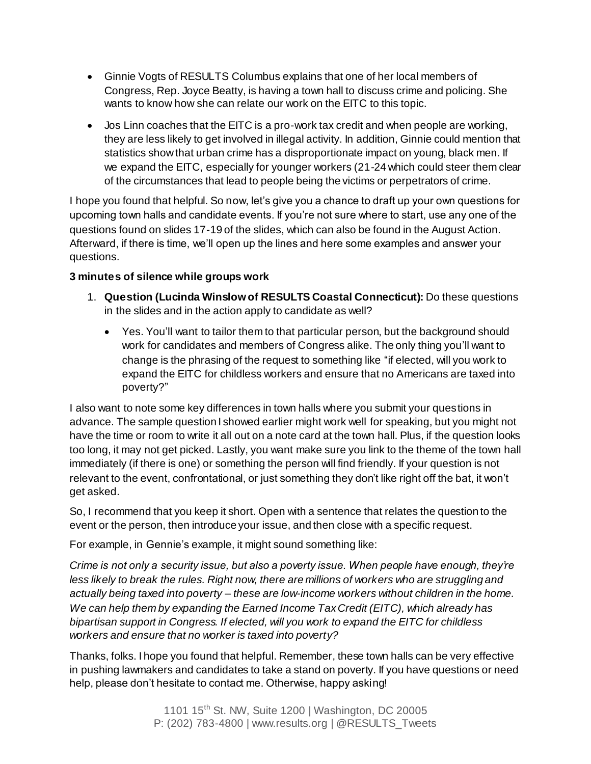- Ginnie Vogts of RESULTS Columbus explains that one of her local members of Congress, Rep. Joyce Beatty, is having a town hall to discuss crime and policing. She wants to know how she can relate our work on the EITC to this topic.
- Jos Linn coaches that the EITC is a pro-work tax credit and when people are working, they are less likely to get involved in illegal activity. In addition, Ginnie could mention that statistics show that urban crime has a disproportionate impact on young, black men. If we expand the EITC, especially for younger workers (21-24 which could steer them clear of the circumstances that lead to people being the victims or perpetrators of crime.

I hope you found that helpful. So now, let's give you a chance to draft up your own questions for upcoming town halls and candidate events. If you're not sure where to start, use any one of the questions found on slides 17-19 of the slides, which can also be found in the August Action. Afterward, if there is time, we'll open up the lines and here some examples and answer your questions.

### **3 minutes of silence while groups work**

- 1. **Question (Lucinda Winslow of RESULTS Coastal Connecticut):** Do these questions in the slides and in the action apply to candidate as well?
	- Yes. You'll want to tailor them to that particular person, but the background should work for candidates and members of Congress alike. The only thing you'll want to change is the phrasing of the request to something like "if elected, will you work to expand the EITC for childless workers and ensure that no Americans are taxed into poverty?"

I also want to note some key differences in town halls where you submit your questions in advance. The sample question I showed earlier might work well for speaking, but you might not have the time or room to write it all out on a note card at the town hall. Plus, if the question looks too long, it may not get picked. Lastly, you want make sure you link to the theme of the town hall immediately (if there is one) or something the person will find friendly. If your question is not relevant to the event, confrontational, or just something they don't like right off the bat, it won't get asked.

So, I recommend that you keep it short. Open with a sentence that relates the question to the event or the person, then introduce your issue, and then close with a specific request.

For example, in Gennie's example, it might sound something like:

*Crime is not only a security issue, but also a poverty issue. When people have enough, they're less likely to break the rules. Right now, there are millions of workers who are struggling and actually being taxed into poverty – these are low-income workers without children in the home. We can help them by expanding the Earned Income Tax Credit (EITC), which already has bipartisan support in Congress. If elected, will you work to expand the EITC for childless workers and ensure that no worker is taxed into poverty?*

Thanks, folks. I hope you found that helpful. Remember, these town halls can be very effective in pushing lawmakers and candidates to take a stand on poverty. If you have questions or need help, please don't hesitate to contact me. Otherwise, happy asking!